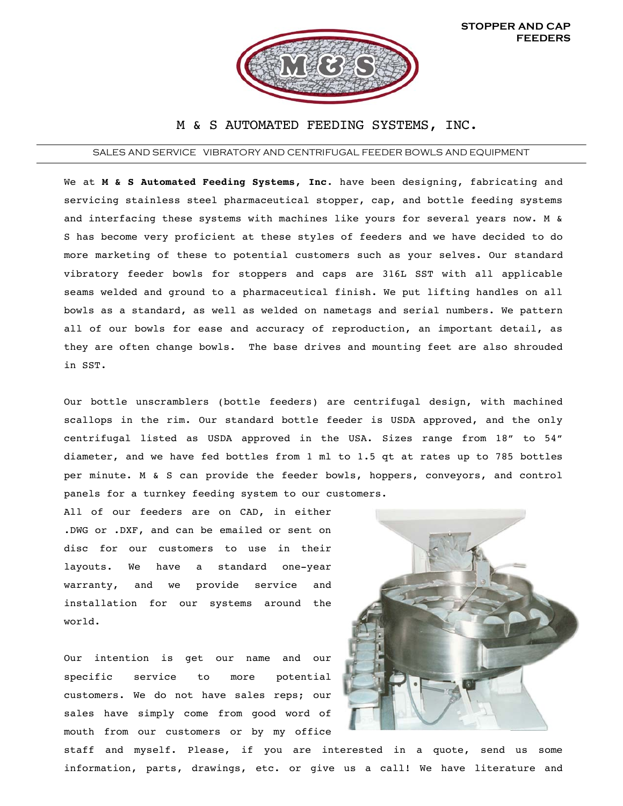

## M & S AUTOMATED FEEDING SYSTEMS, INC.

## SALES AND SERVICE VIBRATORY AND CENTRIFUGAL FEEDER BOWLS AND EQUIPMENT

We at **M & S Automated Feeding Systems, Inc**. have been designing, fabricating and servicing stainless steel pharmaceutical stopper, cap, and bottle feeding systems and interfacing these systems with machines like yours for several years now. M & S has become very proficient at these styles of feeders and we have decided to do more marketing of these to potential customers such as your selves. Our standard vibratory feeder bowls for stoppers and caps are 316L SST with all applicable seams welded and ground to a pharmaceutical finish. We put lifting handles on all bowls as a standard, as well as welded on nametags and serial numbers. We pattern all of our bowls for ease and accuracy of reproduction, an important detail, as they are often change bowls. The base drives and mounting feet are also shrouded in SST.

Our bottle unscramblers (bottle feeders) are centrifugal design, with machined scallops in the rim. Our standard bottle feeder is USDA approved, and the only centrifugal listed as USDA approved in the USA. Sizes range from 18" to 54" diameter, and we have fed bottles from 1 ml to 1.5 qt at rates up to 785 bottles per minute. M & S can provide the feeder bowls, hoppers, conveyors, and control panels for a turnkey feeding system to our customers.

All of our feeders are on CAD, in either .DWG or .DXF, and can be emailed or sent on disc for our customers to use in their layouts. We have a standard one-year warranty, and we provide service and installation for our systems around the world.

Our intention is get our name and our specific service to more potential customers. We do not have sales reps; our sales have simply come from good word of mouth from our customers or by my office



staff and myself. Please, if you are interested in a quote, send us some information, parts, drawings, etc. or give us a call! We have literature and